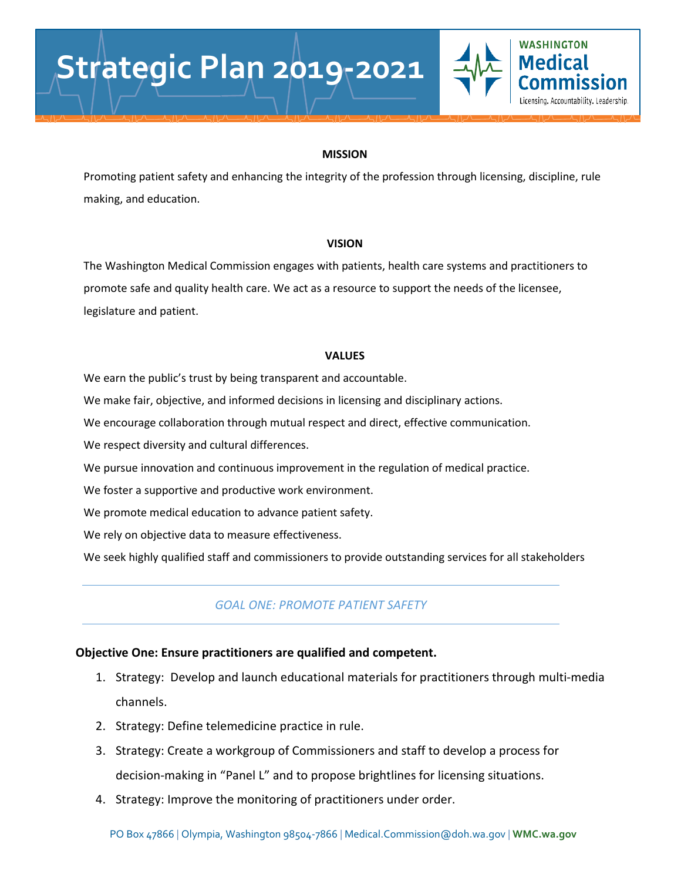### **MISSION**

**WASHINGTON Medical** 

Licensing, Accountability, Leadership,

Promoting patient safety and enhancing the integrity of the profession through licensing, discipline, rule making, and education.

### **VISION**

The Washington Medical Commission engages with patients, health care systems and practitioners to promote safe and quality health care. We act as a resource to support the needs of the licensee, legislature and patient.

### **VALUES**

We earn the public's trust by being transparent and accountable.

We make fair, objective, and informed decisions in licensing and disciplinary actions.

We encourage collaboration through mutual respect and direct, effective communication.

We respect diversity and cultural differences.

We pursue innovation and continuous improvement in the regulation of medical practice.

We foster a supportive and productive work environment.

We promote medical education to advance patient safety.

We rely on objective data to measure effectiveness.

We seek highly qualified staff and commissioners to provide outstanding services for all stakeholders

### *GOAL ONE: PROMOTE PATIENT SAFETY*

### **Objective One: Ensure practitioners are qualified and competent.**

- 1. Strategy: Develop and launch educational materials for practitioners through multi-media channels.
- 2. Strategy: Define telemedicine practice in rule.
- 3. Strategy: Create a workgroup of Commissioners and staff to develop a process for decision-making in "Panel L" and to propose brightlines for licensing situations.
- 4. Strategy: Improve the monitoring of practitioners under order.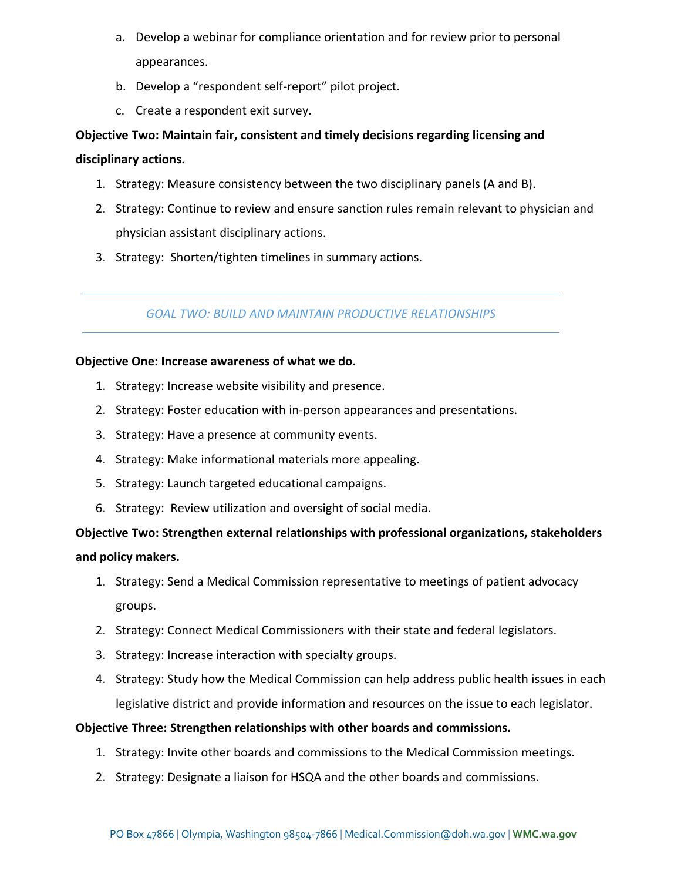- a. Develop a webinar for compliance orientation and for review prior to personal appearances.
- b. Develop a "respondent self-report" pilot project.
- c. Create a respondent exit survey.

# **Objective Two: Maintain fair, consistent and timely decisions regarding licensing and**

### **disciplinary actions.**

- 1. Strategy: Measure consistency between the two disciplinary panels (A and B).
- 2. Strategy: Continue to review and ensure sanction rules remain relevant to physician and physician assistant disciplinary actions.
- 3. Strategy: Shorten/tighten timelines in summary actions.

## *GOAL TWO: BUILD AND MAINTAIN PRODUCTIVE RELATIONSHIPS*

### **Objective One: Increase awareness of what we do.**

- 1. Strategy: Increase website visibility and presence.
- 2. Strategy: Foster education with in-person appearances and presentations.
- 3. Strategy: Have a presence at community events.
- 4. Strategy: Make informational materials more appealing.
- 5. Strategy: Launch targeted educational campaigns.
- 6. Strategy: Review utilization and oversight of social media.

# **Objective Two: Strengthen external relationships with professional organizations, stakeholders and policy makers.**

- 1. Strategy: Send a Medical Commission representative to meetings of patient advocacy groups.
- 2. Strategy: Connect Medical Commissioners with their state and federal legislators.
- 3. Strategy: Increase interaction with specialty groups.
- 4. Strategy: Study how the Medical Commission can help address public health issues in each legislative district and provide information and resources on the issue to each legislator.

### **Objective Three: Strengthen relationships with other boards and commissions.**

- 1. Strategy: Invite other boards and commissions to the Medical Commission meetings.
- 2. Strategy: Designate a liaison for HSQA and the other boards and commissions.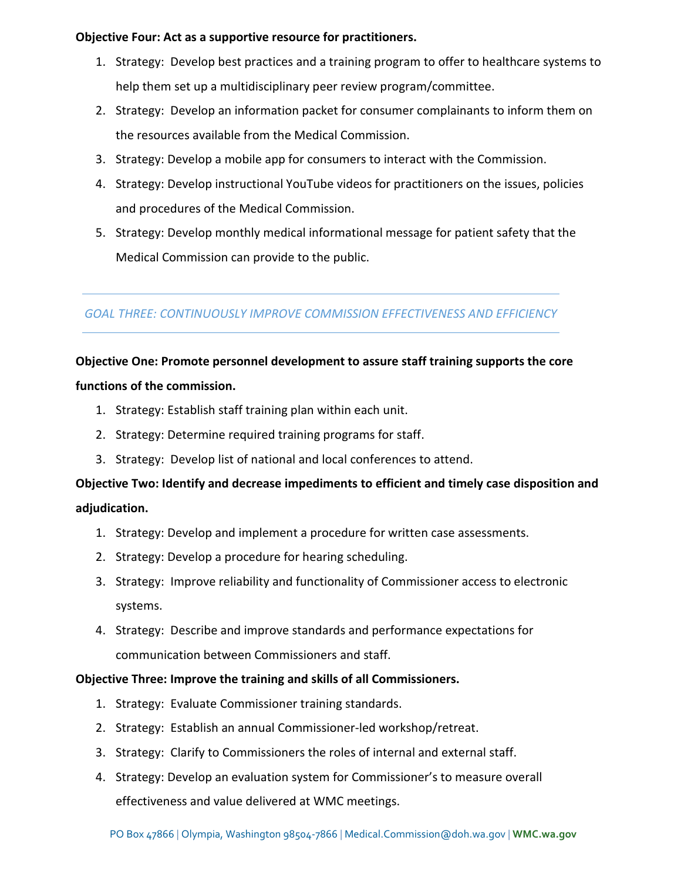### **Objective Four: Act as a supportive resource for practitioners.**

- 1. Strategy: Develop best practices and a training program to offer to healthcare systems to help them set up a multidisciplinary peer review program/committee.
- 2. Strategy: Develop an information packet for consumer complainants to inform them on the resources available from the Medical Commission.
- 3. Strategy: Develop a mobile app for consumers to interact with the Commission.
- 4. Strategy: Develop instructional YouTube videos for practitioners on the issues, policies and procedures of the Medical Commission.
- 5. Strategy: Develop monthly medical informational message for patient safety that the Medical Commission can provide to the public.

### *GOAL THREE: CONTINUOUSLY IMPROVE COMMISSION EFFECTIVENESS AND EFFICIENCY*

# **Objective One: Promote personnel development to assure staff training supports the core**

### **functions of the commission.**

- 1. Strategy: Establish staff training plan within each unit.
- 2. Strategy: Determine required training programs for staff.
- 3. Strategy: Develop list of national and local conferences to attend.

# **Objective Two: Identify and decrease impediments to efficient and timely case disposition and adjudication.**

- 1. Strategy: Develop and implement a procedure for written case assessments.
- 2. Strategy: Develop a procedure for hearing scheduling.
- 3. Strategy: Improve reliability and functionality of Commissioner access to electronic systems.
- 4. Strategy: Describe and improve standards and performance expectations for communication between Commissioners and staff.

### **Objective Three: Improve the training and skills of all Commissioners.**

- 1. Strategy: Evaluate Commissioner training standards.
- 2. Strategy: Establish an annual Commissioner-led workshop/retreat.
- 3. Strategy: Clarify to Commissioners the roles of internal and external staff.
- 4. Strategy: Develop an evaluation system for Commissioner's to measure overall effectiveness and value delivered at WMC meetings.